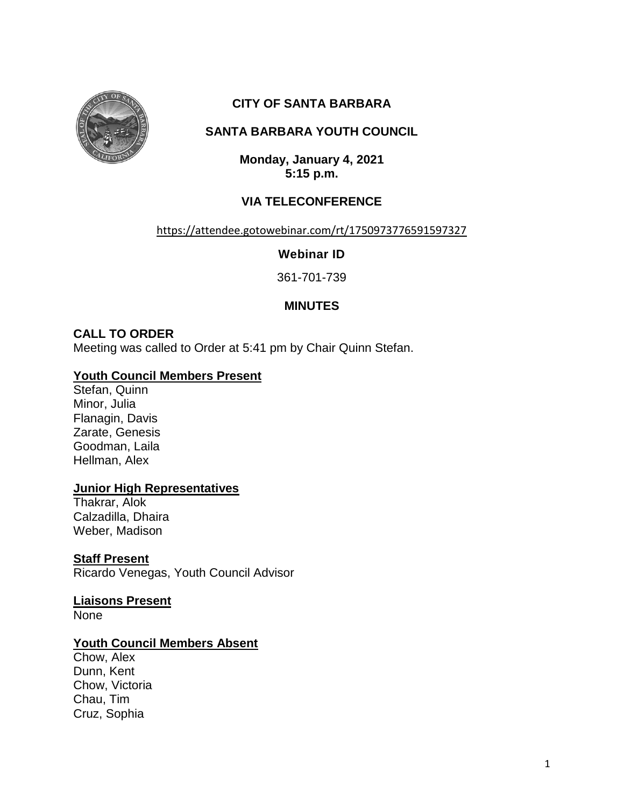

# **CITY OF SANTA BARBARA**

# **SANTA BARBARA YOUTH COUNCIL**

**Monday, January 4, 2021 5:15 p.m.**

# **VIA TELECONFERENCE**

#### <https://attendee.gotowebinar.com/rt/1750973776591597327>

**Webinar ID**

361-701-739

# **MINUTES**

# **CALL TO ORDER**

Meeting was called to Order at 5:41 pm by Chair Quinn Stefan.

# **Youth Council Members Present**

Stefan, Quinn Minor, Julia Flanagin, Davis Zarate, Genesis Goodman, Laila Hellman, Alex

# **Junior High Representatives**

Thakrar, Alok Calzadilla, Dhaira Weber, Madison

# **Staff Present**

Ricardo Venegas, Youth Council Advisor

**Liaisons Present** None

# **Youth Council Members Absent**

Chow, Alex Dunn, Kent Chow, Victoria Chau, Tim Cruz, Sophia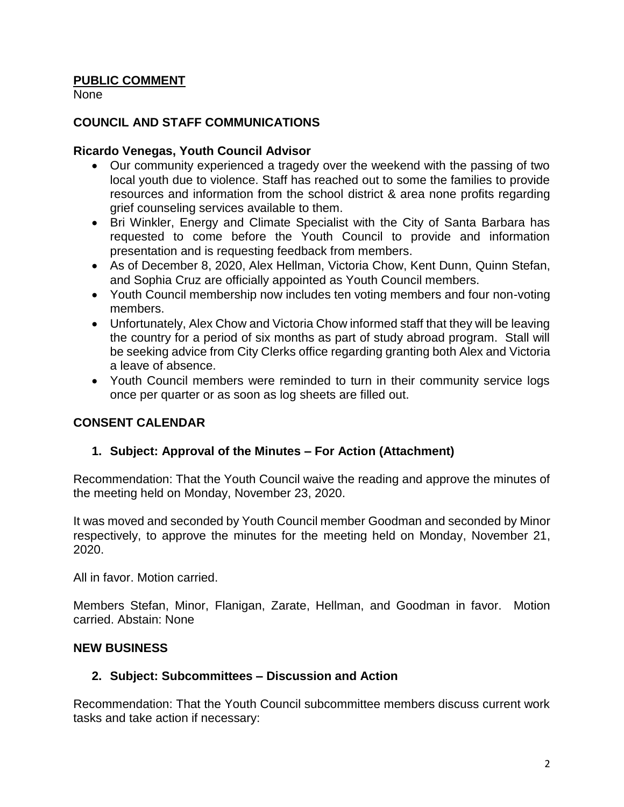# **PUBLIC COMMENT**

None

# **COUNCIL AND STAFF COMMUNICATIONS**

#### **Ricardo Venegas, Youth Council Advisor**

- Our community experienced a tragedy over the weekend with the passing of two local youth due to violence. Staff has reached out to some the families to provide resources and information from the school district & area none profits regarding grief counseling services available to them.
- Bri Winkler, Energy and Climate Specialist with the City of Santa Barbara has requested to come before the Youth Council to provide and information presentation and is requesting feedback from members.
- As of December 8, 2020, Alex Hellman, Victoria Chow, Kent Dunn, Quinn Stefan, and Sophia Cruz are officially appointed as Youth Council members.
- Youth Council membership now includes ten voting members and four non-voting members.
- Unfortunately, Alex Chow and Victoria Chow informed staff that they will be leaving the country for a period of six months as part of study abroad program. Stall will be seeking advice from City Clerks office regarding granting both Alex and Victoria a leave of absence.
- Youth Council members were reminded to turn in their community service logs once per quarter or as soon as log sheets are filled out.

# **CONSENT CALENDAR**

# **1. Subject: Approval of the Minutes – For Action (Attachment)**

Recommendation: That the Youth Council waive the reading and approve the minutes of the meeting held on Monday, November 23, 2020.

It was moved and seconded by Youth Council member Goodman and seconded by Minor respectively, to approve the minutes for the meeting held on Monday, November 21, 2020.

All in favor. Motion carried.

Members Stefan, Minor, Flanigan, Zarate, Hellman, and Goodman in favor. Motion carried. Abstain: None

# **NEW BUSINESS**

# **2. Subject: Subcommittees – Discussion and Action**

Recommendation: That the Youth Council subcommittee members discuss current work tasks and take action if necessary: